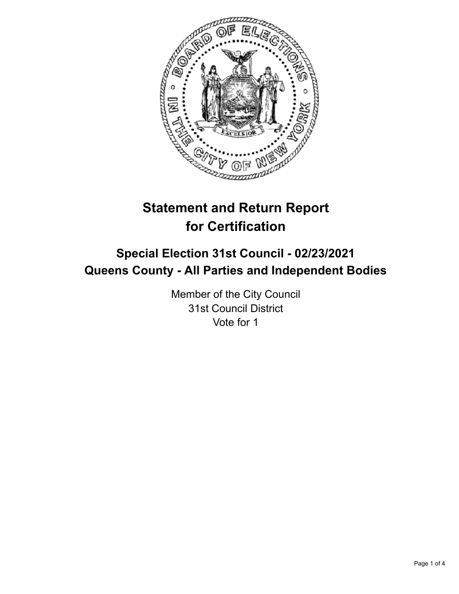

# **Statement and Return Report for Certification**

## **Special Election 31st Council - 02/23/2021 Queens County - All Parties and Independent Bodies**

Member of the City Council 31st Council District Vote for 1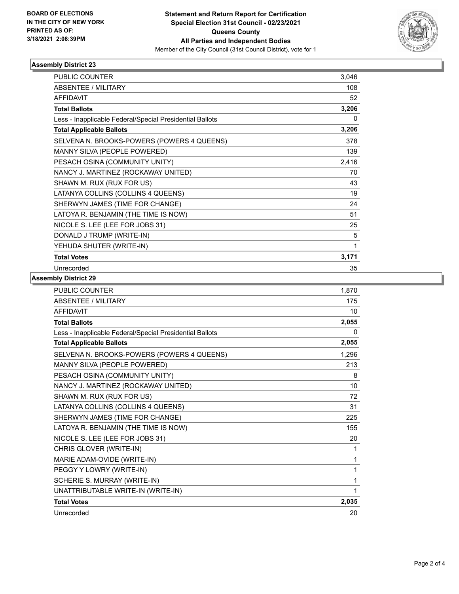

### **Assembly District 23**

| <b>PUBLIC COUNTER</b>                                    | 3,046 |
|----------------------------------------------------------|-------|
| ABSENTEE / MILITARY                                      | 108   |
| <b>AFFIDAVIT</b>                                         | 52    |
| <b>Total Ballots</b>                                     | 3,206 |
| Less - Inapplicable Federal/Special Presidential Ballots | 0     |
| <b>Total Applicable Ballots</b>                          | 3,206 |
| SELVENA N. BROOKS-POWERS (POWERS 4 QUEENS)               | 378   |
| MANNY SILVA (PEOPLE POWERED)                             | 139   |
| PESACH OSINA (COMMUNITY UNITY)                           | 2,416 |
| NANCY J. MARTINEZ (ROCKAWAY UNITED)                      | 70    |
| SHAWN M. RUX (RUX FOR US)                                | 43    |
| LATANYA COLLINS (COLLINS 4 QUEENS)                       | 19    |
| SHERWYN JAMES (TIME FOR CHANGE)                          | 24    |
| LATOYA R. BENJAMIN (THE TIME IS NOW)                     | 51    |
| NICOLE S. LEE (LEE FOR JOBS 31)                          | 25    |
| DONALD J TRUMP (WRITE-IN)                                | 5     |
| YEHUDA SHUTER (WRITE-IN)                                 | 1     |
| <b>Total Votes</b>                                       | 3,171 |
| Unrecorded                                               | 35    |

### **Assembly District 29**

| <b>PUBLIC COUNTER</b>                                    | 1,870        |
|----------------------------------------------------------|--------------|
| <b>ABSENTEE / MILITARY</b>                               | 175          |
| <b>AFFIDAVIT</b>                                         | 10           |
| <b>Total Ballots</b>                                     | 2,055        |
| Less - Inapplicable Federal/Special Presidential Ballots | $\mathbf{0}$ |
| <b>Total Applicable Ballots</b>                          | 2,055        |
| SELVENA N. BROOKS-POWERS (POWERS 4 QUEENS)               | 1,296        |
| MANNY SILVA (PEOPLE POWERED)                             | 213          |
| PESACH OSINA (COMMUNITY UNITY)                           | 8            |
| NANCY J. MARTINEZ (ROCKAWAY UNITED)                      | 10           |
| SHAWN M. RUX (RUX FOR US)                                | 72           |
| LATANYA COLLINS (COLLINS 4 QUEENS)                       | 31           |
| SHERWYN JAMES (TIME FOR CHANGE)                          | 225          |
| LATOYA R. BENJAMIN (THE TIME IS NOW)                     | 155          |
| NICOLE S. LEE (LEE FOR JOBS 31)                          | 20           |
| CHRIS GLOVER (WRITE-IN)                                  | 1            |
| MARIE ADAM-OVIDE (WRITE-IN)                              | 1            |
| PEGGY Y LOWRY (WRITE-IN)                                 | 1            |
| SCHERIE S. MURRAY (WRITE-IN)                             | 1            |
| UNATTRIBUTABLE WRITE-IN (WRITE-IN)                       | 1            |
| <b>Total Votes</b>                                       | 2,035        |
| Unrecorded                                               | 20           |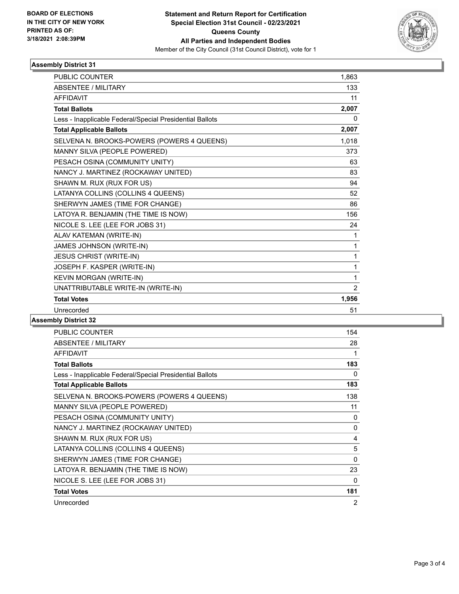

### **Assembly District 31**

| <b>PUBLIC COUNTER</b>                                    | 1,863          |
|----------------------------------------------------------|----------------|
| <b>ABSENTEE / MILITARY</b>                               | 133            |
| <b>AFFIDAVIT</b>                                         | 11             |
| <b>Total Ballots</b>                                     | 2,007          |
| Less - Inapplicable Federal/Special Presidential Ballots | 0              |
| <b>Total Applicable Ballots</b>                          | 2,007          |
| SELVENA N. BROOKS-POWERS (POWERS 4 QUEENS)               | 1,018          |
| MANNY SILVA (PEOPLE POWERED)                             | 373            |
| PESACH OSINA (COMMUNITY UNITY)                           | 63             |
| NANCY J. MARTINEZ (ROCKAWAY UNITED)                      | 83             |
| SHAWN M. RUX (RUX FOR US)                                | 94             |
| LATANYA COLLINS (COLLINS 4 QUEENS)                       | 52             |
| SHERWYN JAMES (TIME FOR CHANGE)                          | 86             |
| LATOYA R. BENJAMIN (THE TIME IS NOW)                     | 156            |
| NICOLE S. LEE (LEE FOR JOBS 31)                          | 24             |
| ALAV KATEMAN (WRITE-IN)                                  | 1              |
| JAMES JOHNSON (WRITE-IN)                                 | 1              |
| <b>JESUS CHRIST (WRITE-IN)</b>                           | 1              |
| JOSEPH F. KASPER (WRITE-IN)                              | 1              |
| KEVIN MORGAN (WRITE-IN)                                  | 1              |
| UNATTRIBUTABLE WRITE-IN (WRITE-IN)                       | $\overline{2}$ |
| <b>Total Votes</b>                                       | 1,956          |
| Unrecorded                                               | 51             |
|                                                          |                |

**Assembly District 32**

| PUBLIC COUNTER                                           | 154            |
|----------------------------------------------------------|----------------|
| <b>ABSENTEE / MILITARY</b>                               | 28             |
| AFFIDAVIT                                                | 1              |
| <b>Total Ballots</b>                                     | 183            |
| Less - Inapplicable Federal/Special Presidential Ballots | 0              |
| <b>Total Applicable Ballots</b>                          | 183            |
| SELVENA N. BROOKS-POWERS (POWERS 4 QUEENS)               | 138            |
| MANNY SILVA (PEOPLE POWERED)                             | 11             |
| PESACH OSINA (COMMUNITY UNITY)                           | 0              |
| NANCY J. MARTINEZ (ROCKAWAY UNITED)                      | 0              |
| SHAWN M. RUX (RUX FOR US)                                | 4              |
| LATANYA COLLINS (COLLINS 4 QUEENS)                       | 5              |
| SHERWYN JAMES (TIME FOR CHANGE)                          | $\Omega$       |
| LATOYA R. BENJAMIN (THE TIME IS NOW)                     | 23             |
| NICOLE S. LEE (LEE FOR JOBS 31)                          | 0              |
| <b>Total Votes</b>                                       | 181            |
| Unrecorded                                               | $\overline{2}$ |